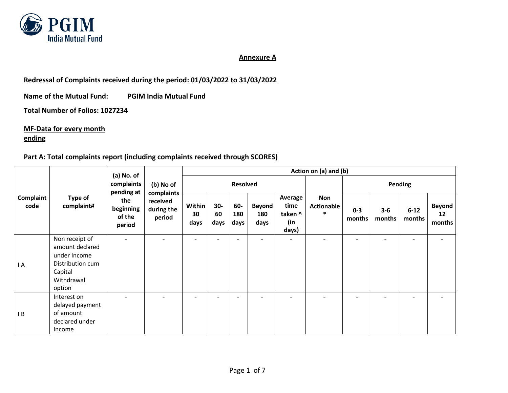

## **Annexure A**

**Redressal of Complaints received during the period: 01/03/2022 to 31/03/2022** 

**Name of the Mutual Fund: PGIM India Mutual Fund**

**Total Number of Folios: 1027234**

**MF-Data for every month**

## **ending**

## **Part A: Total complaints report (including complaints received through SCORES)**

| Complaint<br>code | Type of<br>complaint#                                                                                    | (a) No. of                           | (b) No of                                      | Action on (a) and (b)    |                          |                    |                              |                                            |                                    |                          |                   |                          |                               |  |
|-------------------|----------------------------------------------------------------------------------------------------------|--------------------------------------|------------------------------------------------|--------------------------|--------------------------|--------------------|------------------------------|--------------------------------------------|------------------------------------|--------------------------|-------------------|--------------------------|-------------------------------|--|
|                   |                                                                                                          | complaints<br>pending at             |                                                |                          | <b>Resolved</b>          |                    |                              |                                            |                                    |                          | Pending           |                          |                               |  |
|                   |                                                                                                          | the<br>beginning<br>of the<br>period | complaints<br>received<br>during the<br>period | Within<br>30<br>days     | $30-$<br>60<br>days      | 60-<br>180<br>days | <b>Beyond</b><br>180<br>days | Average<br>time<br>taken ^<br>(in<br>days) | Non<br><b>Actionable</b><br>$\ast$ | $0 - 3$<br>months        | $3 - 6$<br>months | $6 - 12$<br>months       | <b>Beyond</b><br>12<br>months |  |
| I A               | Non receipt of<br>amount declared<br>under Income<br>Distribution cum<br>Capital<br>Withdrawal<br>option |                                      | $\overline{\phantom{0}}$                       | $\overline{\phantom{0}}$ | $\overline{\phantom{a}}$ | -                  | $\overline{\phantom{0}}$     | $\overline{\phantom{a}}$                   | $\overline{\phantom{a}}$           | $\overline{\phantom{0}}$ | ۰                 | $\overline{\phantom{0}}$ | $\overline{\phantom{a}}$      |  |
| $\mathsf{I}$ B    | Interest on<br>delayed payment<br>of amount<br>declared under<br>Income                                  |                                      |                                                |                          | $\overline{\phantom{a}}$ |                    |                              |                                            |                                    |                          |                   | -                        |                               |  |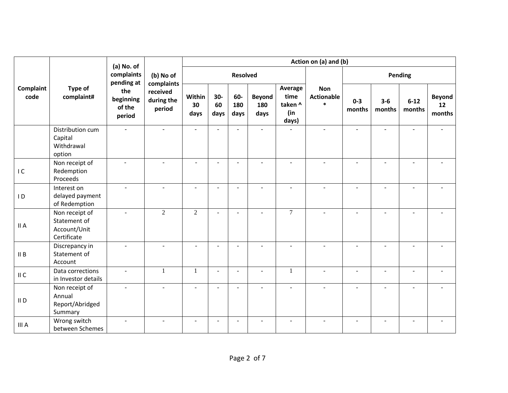|                   |                                                               | (a) No. of                           | Action on (a) and (b)            |                          |                     |                    |                              |                                            |                                           |                   |                          |                          |                               |  |
|-------------------|---------------------------------------------------------------|--------------------------------------|----------------------------------|--------------------------|---------------------|--------------------|------------------------------|--------------------------------------------|-------------------------------------------|-------------------|--------------------------|--------------------------|-------------------------------|--|
|                   |                                                               | complaints<br>pending at             | (b) No of<br>complaints          |                          |                     | <b>Resolved</b>    |                              |                                            |                                           |                   | Pending                  |                          |                               |  |
| Complaint<br>code | Type of<br>complaint#                                         | the<br>beginning<br>of the<br>period | received<br>during the<br>period | Within<br>30<br>days     | $30-$<br>60<br>days | 60-<br>180<br>days | <b>Beyond</b><br>180<br>days | Average<br>time<br>taken ^<br>(in<br>days) | <b>Non</b><br><b>Actionable</b><br>$\ast$ | $0 - 3$<br>months | $3 - 6$<br>months        | $6 - 12$<br>months       | <b>Beyond</b><br>12<br>months |  |
|                   | Distribution cum<br>Capital<br>Withdrawal<br>option           |                                      |                                  |                          | L,                  |                    |                              |                                            |                                           |                   |                          |                          |                               |  |
| IC                | Non receipt of<br>Redemption<br>Proceeds                      |                                      |                                  | ÷.                       | ÷.                  | $\sim$             | $\overline{a}$               | $\overline{a}$                             |                                           | $\overline{a}$    |                          | $\overline{a}$           |                               |  |
| $\overline{1}$    | Interest on<br>delayed payment<br>of Redemption               | $\mathbf{r}$                         |                                  | $\sim$                   | $\sim$              |                    | ÷.                           | ÷.                                         | ٠                                         | ÷.                | $\overline{a}$           | $\overline{\phantom{a}}$ |                               |  |
| II A              | Non receipt of<br>Statement of<br>Account/Unit<br>Certificate | $\omega$                             | 2                                | $\overline{2}$           | $\sim$              | $\sim$             | $\overline{a}$               | $\tau$                                     | $\sim$                                    | ÷.                | $\overline{a}$           | $\overline{a}$           |                               |  |
| II B              | Discrepancy in<br>Statement of<br>Account                     |                                      |                                  |                          | $\overline{a}$      |                    |                              |                                            |                                           |                   |                          |                          |                               |  |
| II C              | Data corrections<br>in Investor details                       | ÷.                                   | $\mathbf{1}$                     | 1                        | $\sim$              | $\sim$             | $\sim$                       | $\mathbf{1}$                               | ÷.                                        | ÷                 | $\overline{\phantom{a}}$ | L,                       | ä,                            |  |
| II <sub>D</sub>   | Non receipt of<br>Annual<br>Report/Abridged<br>Summary        | $\blacksquare$                       | $\blacksquare$                   | $\sim$                   | $\sim$              | $\sim$             | $\sim$                       | $\blacksquare$                             | $\sim$                                    | $\overline{a}$    | $\sim$                   | $\blacksquare$           |                               |  |
| III A             | Wrong switch<br>between Schemes                               | ٠                                    |                                  | $\overline{\phantom{a}}$ | $\overline{a}$      |                    |                              |                                            |                                           |                   |                          |                          |                               |  |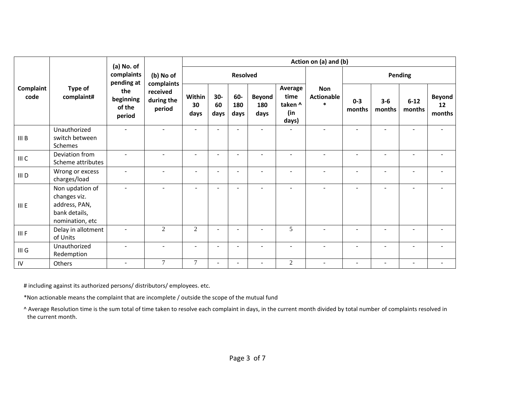|                   | Type of<br>complaint#                                                                | (a) No. of<br>complaints<br>pending at<br>the<br>beginning<br>of the<br>period |                                                             | Action on (a) and (b)    |                          |                    |                              |                                            |                                           |                   |                          |                    |                               |  |
|-------------------|--------------------------------------------------------------------------------------|--------------------------------------------------------------------------------|-------------------------------------------------------------|--------------------------|--------------------------|--------------------|------------------------------|--------------------------------------------|-------------------------------------------|-------------------|--------------------------|--------------------|-------------------------------|--|
|                   |                                                                                      |                                                                                | (b) No of<br>complaints<br>received<br>during the<br>period |                          |                          | <b>Resolved</b>    |                              |                                            |                                           |                   |                          | Pending            |                               |  |
| Complaint<br>code |                                                                                      |                                                                                |                                                             | Within<br>30<br>days     | 30-<br>60<br>days        | 60-<br>180<br>days | <b>Beyond</b><br>180<br>days | Average<br>time<br>taken ^<br>(in<br>days) | <b>Non</b><br><b>Actionable</b><br>$\ast$ | $0 - 3$<br>months | $3 - 6$<br>months        | $6 - 12$<br>months | <b>Beyond</b><br>12<br>months |  |
| III B             | Unauthorized<br>switch between<br>Schemes                                            |                                                                                |                                                             |                          | $\blacksquare$           |                    | $\sim$                       |                                            |                                           |                   |                          |                    |                               |  |
| III C             | Deviation from<br>Scheme attributes                                                  | ÷                                                                              |                                                             | $\overline{\phantom{a}}$ | $\blacksquare$           |                    | ÷                            |                                            | ÷                                         | ÷                 |                          | $\overline{a}$     |                               |  |
| III D             | Wrong or excess<br>charges/load                                                      | ÷.                                                                             | $\overline{\phantom{a}}$                                    | $\sim$                   | $\overline{\phantom{0}}$ | $\sim$             | $\sim$                       | $\overline{\phantom{a}}$                   | $\overline{a}$                            | ÷                 | $\overline{\phantom{a}}$ | $\blacksquare$     |                               |  |
| III E             | Non updation of<br>changes viz.<br>address, PAN,<br>bank details,<br>nomination, etc | ÷.                                                                             |                                                             | $\sim$                   | $\overline{a}$           |                    | $\sim$                       | $\overline{\phantom{a}}$                   | $\sim$                                    | ÷                 | $\overline{a}$           | ÷.                 |                               |  |
| III F             | Delay in allotment<br>of Units                                                       |                                                                                | $\overline{2}$                                              | $\overline{2}$           | $\overline{\phantom{a}}$ |                    | $\overline{\phantom{a}}$     | 5                                          |                                           |                   |                          | $\blacksquare$     |                               |  |
| III <sub>G</sub>  | Unauthorized<br>Redemption                                                           |                                                                                |                                                             | $\overline{\phantom{a}}$ | $\overline{\phantom{a}}$ |                    |                              |                                            |                                           | ٠                 |                          | ۰                  |                               |  |
| ${\sf IV}$        | Others                                                                               |                                                                                | $\overline{7}$                                              | $\overline{7}$           | $\blacksquare$           |                    |                              | $\overline{2}$                             |                                           |                   |                          |                    |                               |  |

# including against its authorized persons/ distributors/ employees. etc.

\*Non actionable means the complaint that are incomplete / outside the scope of the mutual fund

^ Average Resolution time is the sum total of time taken to resolve each complaint in days, in the current month divided by total number of complaints resolved in the current month.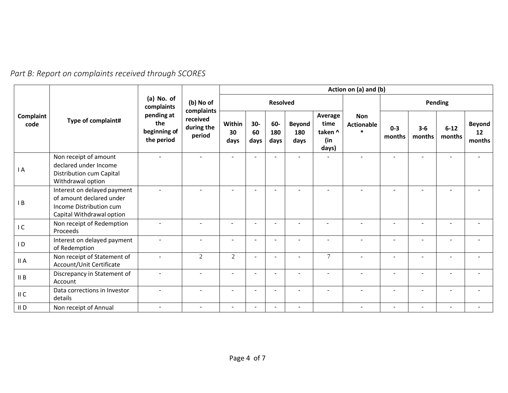| Part B: Report on complaints received through SCORES |  |
|------------------------------------------------------|--|
|------------------------------------------------------|--|

|                   |                                                                                                                 | (a) No. of<br>complaints                        | (b) No of<br>complaints<br>received<br>during the<br>period | Action on (a) and (b)    |                     |                          |                              |                                            |                                           |                          |                          |                    |                               |
|-------------------|-----------------------------------------------------------------------------------------------------------------|-------------------------------------------------|-------------------------------------------------------------|--------------------------|---------------------|--------------------------|------------------------------|--------------------------------------------|-------------------------------------------|--------------------------|--------------------------|--------------------|-------------------------------|
| Complaint<br>code |                                                                                                                 |                                                 |                                                             |                          | <b>Resolved</b>     |                          |                              |                                            |                                           | Pending                  |                          |                    |                               |
|                   | Type of complaint#                                                                                              | pending at<br>the<br>beginning of<br>the period |                                                             | Within<br>30<br>days     | $30-$<br>60<br>days | 60-<br>180<br>days       | <b>Beyond</b><br>180<br>days | Average<br>time<br>taken ^<br>(in<br>days) | <b>Non</b><br><b>Actionable</b><br>$\ast$ | $0 - 3$<br>months        | $3-6$<br>months          | $6 - 12$<br>months | <b>Beyond</b><br>12<br>months |
| I A               | Non receipt of amount<br>declared under Income<br>Distribution cum Capital<br>Withdrawal option                 |                                                 |                                                             |                          |                     |                          |                              |                                            |                                           |                          |                          |                    |                               |
| B                 | Interest on delayed payment<br>of amount declared under<br>Income Distribution cum<br>Capital Withdrawal option |                                                 |                                                             | $\overline{\phantom{a}}$ |                     |                          |                              | $\sim$                                     |                                           |                          |                          |                    |                               |
| IC                | Non receipt of Redemption<br>Proceeds                                                                           |                                                 |                                                             |                          | ٠                   |                          | $\sim$                       | $\sim$                                     |                                           |                          |                          | $\sim$             |                               |
| $\overline{1}$    | Interest on delayed payment<br>of Redemption                                                                    |                                                 |                                                             | ÷                        |                     |                          |                              |                                            |                                           |                          |                          |                    |                               |
| II A              | Non receipt of Statement of<br>Account/Unit Certificate                                                         |                                                 | $\overline{2}$                                              | 2                        | ٠                   |                          | ÷.                           | $\tau$                                     | ÷                                         |                          |                          |                    |                               |
| II B              | Discrepancy in Statement of<br>Account                                                                          |                                                 |                                                             | ÷                        |                     |                          |                              |                                            |                                           |                          |                          |                    |                               |
| II C              | Data corrections in Investor<br>details                                                                         |                                                 | $\blacksquare$                                              | $\blacksquare$           | $\blacksquare$      | $\overline{\phantom{a}}$ | $\blacksquare$               | $\sim$                                     | $\overline{\phantom{0}}$                  | $\overline{\phantom{a}}$ | $\overline{\phantom{a}}$ | $\sim$             | $\overline{\phantom{a}}$      |
| $II$ D            | Non receipt of Annual                                                                                           | $\sim$                                          | $\overline{\phantom{a}}$                                    | $\overline{a}$           |                     |                          | $\overline{\phantom{a}}$     |                                            | $\overline{\phantom{a}}$                  | $\overline{\phantom{a}}$ | $\overline{\phantom{a}}$ | $\sim$             |                               |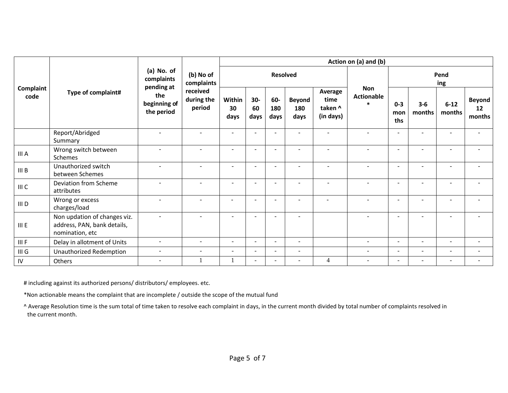|                   | Type of complaint#                                                             | (a) No. of<br>complaints<br>pending at<br>the<br>beginning of<br>the period | (b) No of<br>complaints<br>received<br>during the<br>period | Action on (a) and (b)    |                          |                    |                              |                                         |                                            |                          |                          |                          |                               |
|-------------------|--------------------------------------------------------------------------------|-----------------------------------------------------------------------------|-------------------------------------------------------------|--------------------------|--------------------------|--------------------|------------------------------|-----------------------------------------|--------------------------------------------|--------------------------|--------------------------|--------------------------|-------------------------------|
| Complaint<br>code |                                                                                |                                                                             |                                                             |                          |                          | <b>Resolved</b>    |                              |                                         |                                            | Pend<br>ing              |                          |                          |                               |
|                   |                                                                                |                                                                             |                                                             | Within<br>30<br>days     | $30-$<br>60<br>days      | 60-<br>180<br>days | <b>Beyond</b><br>180<br>days | Average<br>time<br>taken ^<br>(in days) | <b>Non</b><br><b>Actionable</b><br>$\star$ | $0 - 3$<br>mon<br>ths    | $3 - 6$<br>months        | $6 - 12$<br>months       | <b>Beyond</b><br>12<br>months |
|                   | Report/Abridged<br>Summary                                                     | $\sim$                                                                      | $\blacksquare$                                              | $\overline{\phantom{a}}$ |                          |                    | $\overline{\phantom{a}}$     |                                         |                                            | $\sim$                   | $\blacksquare$           | $\sim$                   | $\overline{\phantom{a}}$      |
| III A             | Wrong switch between<br>Schemes                                                |                                                                             | ۰                                                           | $\sim$                   |                          |                    | $\sim$                       |                                         |                                            | $\sim$                   | $\sim$                   | $\equiv$                 |                               |
| III B             | Unauthorized switch<br>between Schemes                                         |                                                                             | $\blacksquare$                                              | $\overline{\phantom{a}}$ | ÷                        |                    | $\sim$                       |                                         |                                            | $\sim$                   | ÷                        | $\sim$                   |                               |
| III C             | Deviation from Scheme<br>attributes                                            |                                                                             |                                                             | ٠                        | $\overline{\phantom{a}}$ |                    | $\overline{\phantom{a}}$     |                                         |                                            | $\sim$                   |                          | $\overline{\phantom{0}}$ |                               |
| III D             | Wrong or excess<br>charges/load                                                |                                                                             |                                                             |                          |                          |                    |                              |                                         |                                            | $\sim$                   |                          |                          |                               |
| III E             | Non updation of changes viz.<br>address, PAN, bank details,<br>nomination, etc |                                                                             |                                                             |                          |                          |                    |                              |                                         |                                            | ٠                        |                          |                          |                               |
| III F             | Delay in allotment of Units                                                    | $\sim$                                                                      | $\sim$                                                      | $\overline{a}$           | $\overline{\phantom{a}}$ |                    | $\sim$                       |                                         | $\sim$                                     | $\sim$                   | $\sim$                   | $\sim$                   | $\overline{\phantom{a}}$      |
| $III$ $G$         | Unauthorized Redemption                                                        | $\sim$                                                                      | $\overline{\phantom{a}}$                                    | $\overline{a}$           | $\overline{a}$           | $\sim$             | $\blacksquare$               |                                         | $\overline{\phantom{a}}$                   | $\overline{\phantom{a}}$ | $\blacksquare$           | $\sim$                   | $\overline{a}$                |
| ${\sf IV}$        | Others                                                                         | $\sim$                                                                      |                                                             |                          |                          |                    | $\sim$                       | 4                                       | $\sim$                                     | $\sim$                   | $\overline{\phantom{a}}$ | $\sim$                   |                               |

# including against its authorized persons/ distributors/ employees. etc.

\*Non actionable means the complaint that are incomplete / outside the scope of the mutual fund

^ Average Resolution time is the sum total of time taken to resolve each complaint in days, in the current month divided by total number of complaints resolved in the current month.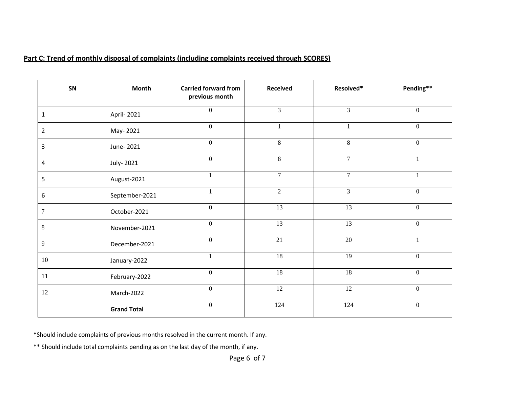## **Part C: Trend of monthly disposal of complaints (including complaints received through SCORES)**

| SN             | <b>Month</b>       | <b>Carried forward from</b><br>previous month | <b>Received</b> | Resolved*      | Pending**        |
|----------------|--------------------|-----------------------------------------------|-----------------|----------------|------------------|
| 1              | April- 2021        | $\boldsymbol{0}$                              | $\overline{3}$  | $\overline{3}$ | $\boldsymbol{0}$ |
| $\overline{2}$ | May-2021           | $\overline{0}$                                | $\mathbf{1}$    | $\mathbf{1}$   | $\overline{0}$   |
| 3              | June-2021          | $\overline{0}$                                | $\,8\,$         | 8              | $\boldsymbol{0}$ |
| 4              | July-2021          | $\overline{0}$                                | 8               | $\overline{7}$ | $\mathbf{1}$     |
| 5              | August-2021        |                                               | $\overline{7}$  | $\overline{7}$ | $\mathbf{1}$     |
| 6              | September-2021     |                                               | $\overline{2}$  | $\overline{3}$ | $\boldsymbol{0}$ |
| 7              | October-2021       | $\overline{0}$                                | $\overline{13}$ | 13             | $\overline{0}$   |
| 8              | November-2021      | $\boldsymbol{0}$                              | 13              | 13             | $\boldsymbol{0}$ |
| 9              | December-2021      | $\overline{0}$                                | 21              | 20             | -1               |
| 10             | January-2022       |                                               | 18              | 19             | $\mathbf{0}$     |
| 11             | February-2022      | $\overline{0}$                                | 18              | 18             | $\boldsymbol{0}$ |
| 12             | March-2022         | $\boldsymbol{0}$                              | 12              | 12             | $\boldsymbol{0}$ |
|                | <b>Grand Total</b> | $\overline{0}$                                | 124             | 124            | $\overline{0}$   |

\*Should include complaints of previous months resolved in the current month. If any.

\*\* Should include total complaints pending as on the last day of the month, if any.